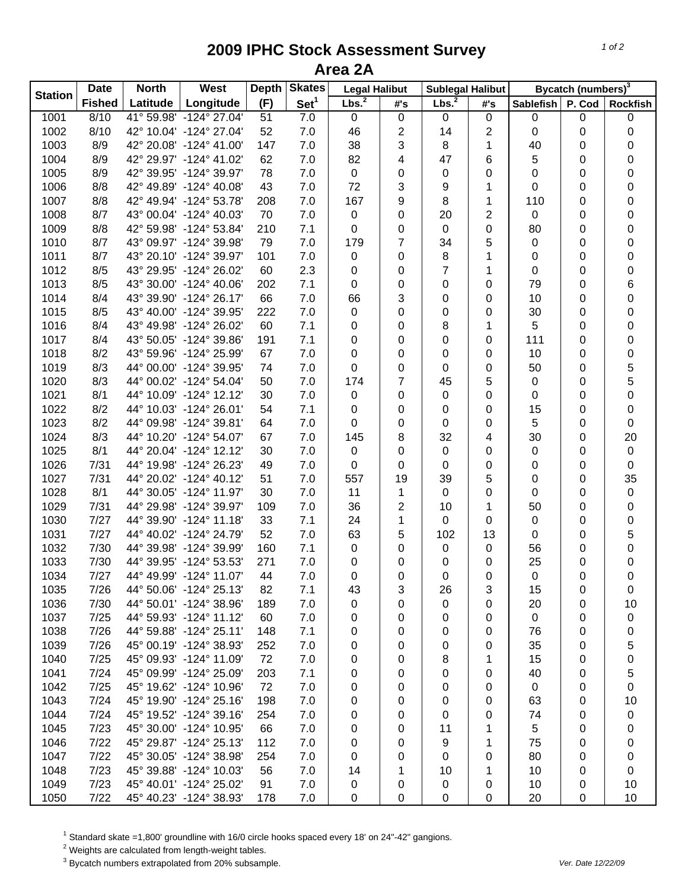## **2009 IPHC Stock Assessment Survey Area 2A**

| <b>Station</b> | <b>Date</b>   | <b>North</b> | West                    | <b>Depth</b> | <b>Skates</b>    | <b>Legal Halibut</b> |             | <b>Sublegal Halibut</b> |              | Bycatch (numbers) <sup>3</sup> |        |                 |
|----------------|---------------|--------------|-------------------------|--------------|------------------|----------------------|-------------|-------------------------|--------------|--------------------------------|--------|-----------------|
|                | <b>Fished</b> | Latitude     | Longitude               | (F)          | Set <sup>1</sup> | Lbs. <sup>2</sup>    | #'s         | Lbs. <sup>2</sup>       | #'s          | Sablefish                      | P. Cod | <b>Rockfish</b> |
| 1001           | 8/10          |              | 41° 59.98' -124° 27.04' | 51           | 7.0              | $\mathbf 0$          | $\pmb{0}$   | $\pmb{0}$               | $\mathbf 0$  | 0                              | 0      | $\pmb{0}$       |
| 1002           | 8/10          |              | 42° 10.04' -124° 27.04' | 52           | 7.0              | 46                   | 2           | 14                      | 2            | 0                              | 0      | 0               |
| 1003           | 8/9           |              | 42° 20.08' -124° 41.00' | 147          | 7.0              | 38                   | 3           | 8                       | 1            | 40                             | 0      | 0               |
| 1004           | 8/9           |              | 42° 29.97' -124° 41.02' | 62           | 7.0              | 82                   | 4           | 47                      | 6            | 5                              | 0      | 0               |
| 1005           | 8/9           |              | 42° 39.95' -124° 39.97' | 78           | 7.0              | $\mathbf 0$          | $\mathbf 0$ | 0                       | 0            | 0                              | 0      | 0               |
| 1006           | 8/8           |              | 42° 49.89' -124° 40.08' | 43           | 7.0              | 72                   | 3           | 9                       | 1            | 0                              | 0      | 0               |
| 1007           | 8/8           |              | 42° 49.94' -124° 53.78' | 208          | 7.0              | 167                  | 9           | 8                       | $\mathbf 1$  | 110                            | 0      | 0               |
| 1008           | 8/7           |              | 43° 00.04' -124° 40.03' | 70           | 7.0              | 0                    | 0           | 20                      | 2            | 0                              | 0      | 0               |
| 1009           | 8/8           |              | 42° 59.98' -124° 53.84' | 210          | 7.1              | 0                    | 0           | $\pmb{0}$               | $\pmb{0}$    | 80                             | 0      | 0               |
| 1010           | 8/7           |              | 43° 09.97' -124° 39.98' | 79           | 7.0              | 179                  | 7           | 34                      | 5            | 0                              | 0      | 0               |
| 1011           | 8/7           |              | 43° 20.10' -124° 39.97' | 101          | 7.0              | $\mathbf 0$          | $\mathbf 0$ | 8                       | 1            | 0                              | 0      | 0               |
| 1012           | 8/5           |              | 43° 29.95' -124° 26.02' | 60           | 2.3              | 0                    | 0           | $\overline{7}$          | $\mathbf{1}$ | 0                              | 0      | 0               |
| 1013           | 8/5           |              | 43° 30.00' -124° 40.06' | 202          | 7.1              | 0                    | 0           | 0                       | 0            | 79                             | 0      | $\,6$           |
| 1014           | 8/4           |              | 43° 39.90' -124° 26.17' | 66           | 7.0              | 66                   | 3           | $\pmb{0}$               | 0            | 10                             | 0      | 0               |
| 1015           | 8/5           |              | 43° 40.00' -124° 39.95' | 222          | 7.0              | $\pmb{0}$            | 0           | 0                       | 0            | 30                             | 0      | 0               |
| 1016           | 8/4           |              | 43° 49.98' -124° 26.02' | 60           | 7.1              | 0                    | 0           | 8                       | 1            | 5                              | 0      | 0               |
| 1017           | 8/4           |              | 43° 50.05' -124° 39.86' | 191          | 7.1              | 0                    | 0           | 0                       | 0            | 111                            | 0      | 0               |
| 1018           | 8/2           |              | 43° 59.96' -124° 25.99' | 67           | 7.0              | 0                    | 0           | 0                       | 0            | 10                             | 0      | $\mathbf 0$     |
| 1019           | 8/3           |              | 44° 00.00' -124° 39.95' | 74           | 7.0              | 0                    | 0           | 0                       | 0            | 50                             | 0      | 5               |
| 1020           | 8/3           |              | 44° 00.02' -124° 54.04' | 50           | 7.0              | 174                  | 7           | 45                      | 5            | 0                              | 0      | 5               |
| 1021           | 8/1           |              | 44° 10.09' -124° 12.12' | 30           | 7.0              | $\pmb{0}$            | 0           | $\pmb{0}$               | 0            | 0                              | 0      | 0               |
| 1022           | 8/2           |              | 44° 10.03' -124° 26.01' | 54           | 7.1              | 0                    |             | 0                       | 0            | 15                             | 0      | 0               |
| 1023           | 8/2           |              | 44° 09.98' -124° 39.81' | 64           | 7.0              | 0                    | 0           | 0                       | 0            | 5                              | 0      | 0               |
|                | 8/3           |              | 44° 10.20' -124° 54.07' | 67           |                  | 145                  | 0           | 32                      |              |                                |        |                 |
| 1024           |               |              |                         |              | 7.0              |                      | 8           |                         | 4            | 30                             | 0      | 20              |
| 1025           | 8/1           |              | 44° 20.04' -124° 12.12' | 30           | 7.0              | 0                    | 0           | $\pmb{0}$               | $\pmb{0}$    | 0                              | 0      | $\pmb{0}$       |
| 1026           | 7/31          |              | 44° 19.98' -124° 26.23' | 49           | 7.0              | 0                    | 0           | $\pmb{0}$               | $\pmb{0}$    | 0                              | 0      | $\pmb{0}$       |
| 1027           | 7/31          |              | 44° 20.02' -124° 40.12' | 51           | 7.0              | 557                  | 19          | 39                      | 5            | 0                              | 0      | 35              |
| 1028           | 8/1           |              | 44° 30.05' -124° 11.97' | 30           | 7.0              | 11                   | 1           | $\mathbf 0$             | 0            | 0                              | 0      | $\pmb{0}$       |
| 1029           | 7/31          |              | 44° 29.98' -124° 39.97' | 109          | 7.0              | 36                   | 2           | 10                      | 1            | 50                             | 0      | 0               |
| 1030           | 7/27          |              | 44° 39.90' -124° 11.18' | 33           | 7.1              | 24                   | 1           | 0                       | $\mathbf 0$  | 0                              | 0      | 0               |
| 1031           | 7/27          |              | 44° 40.02' -124° 24.79' | 52           | 7.0              | 63                   | 5           | 102                     | 13           | 0                              | 0      | $\mathbf 5$     |
| 1032           | 7/30          |              | 44° 39.98' -124° 39.99' | 160          | 7.1              | 0                    | 0           | $\mathbf 0$             | $\pmb{0}$    | 56                             | 0      | $\mathbf 0$     |
| 1033           | 7/30          |              | 44° 39.95' -124° 53.53' | 271          | 7.0              | 0                    | 0           | 0                       | 0            | 25                             | 0      | 0               |
| 1034           | 7/27          |              | 44° 49.99' -124° 11.07' | 44           | 7.0              | 0                    | 0           | $\mathbf 0$             | 0            | 0                              | 0      | $\mathsf 0$     |
| 1035           | 7/26          |              | 44° 50.06' -124° 25.13' | 82           | 7.1              | 43                   | 3           | 26                      | 3            | 15                             | 0      | 0               |
| 1036           | 7/30          |              | 44° 50.01' -124° 38.96' | 189          | 7.0              | 0                    | 0           | 0                       | 0            | 20                             | 0      | 10              |
| 1037           | 7/25          |              | 44° 59.93' -124° 11.12' | 60           | 7.0              | 0                    | 0           | 0                       | 0            | 0                              | 0      | 0               |
| 1038           | 7/26          |              | 44° 59.88' -124° 25.11' | 148          | 7.1              | 0                    | 0           | 0                       | 0            | 76                             | 0      | 0               |
| 1039           | 7/26          |              | 45° 00.19' -124° 38.93' | 252          | 7.0              | 0                    | 0           | 0                       | 0            | 35                             | 0      | 5               |
| 1040           | 7/25          |              | 45° 09.93' -124° 11.09' | 72           | 7.0              | 0                    | 0           | 8                       | 1            | 15                             | 0      | 0               |
| 1041           | 7/24          |              | 45° 09.99' -124° 25.09' | 203          | 7.1              | 0                    | 0           | 0                       | 0            | 40                             | 0      | 5               |
| 1042           | 7/25          |              | 45° 19.62' -124° 10.96' | 72           | 7.0              | 0                    | 0           | 0                       | 0            | 0                              | 0      | $\pmb{0}$       |
| 1043           | 7/24          |              | 45° 19.90' -124° 25.16' | 198          | 7.0              | 0                    | 0           | 0                       | 0            | 63                             | 0      | 10              |
| 1044           | 7/24          |              | 45° 19.52' -124° 39.16' | 254          | 7.0              | 0                    | 0           | 0                       | 0            | 74                             | 0      | 0               |
| 1045           | 7/23          |              | 45° 30.00' -124° 10.95' | 66           | 7.0              | 0                    | 0           | 11                      | 1            | 5                              | 0      | 0               |
| 1046           | 7/22          |              | 45° 29.87' -124° 25.13' | 112          | 7.0              | 0                    | 0           | 9                       | 1            | 75                             | 0      | 0               |
| 1047           | 7/22          |              | 45° 30.05' -124° 38.98' | 254          | 7.0              | 0                    | 0           | 0                       | 0            | 80                             | 0      | 0               |
| 1048           | 7/23          |              | 45° 39.88' -124° 10.03' | 56           | 7.0              | 14                   | 1           | 10                      | 1            | 10                             | 0      | 0               |
| 1049           | 7/23          |              | 45° 40.01' -124° 25.02' | 91           | 7.0              | 0                    | 0           | 0                       | 0            | 10                             | 0      | 10              |
| 1050           | 7/22          |              | 45° 40.23' -124° 38.93' | 178          | 7.0              | 0                    | $\pmb{0}$   | $\mathbf 0$             | 0            | 20                             | 0      | 10              |

 $^1$  Standard skate =1,800' groundline with 16/0 circle hooks spaced every 18' on 24"-42" gangions.<br><sup>2</sup> Weights are calculated from length-weight tables.

3 Bycatch numbers extrapolated from 20% subsample. *Ver. Date 12/22/09*